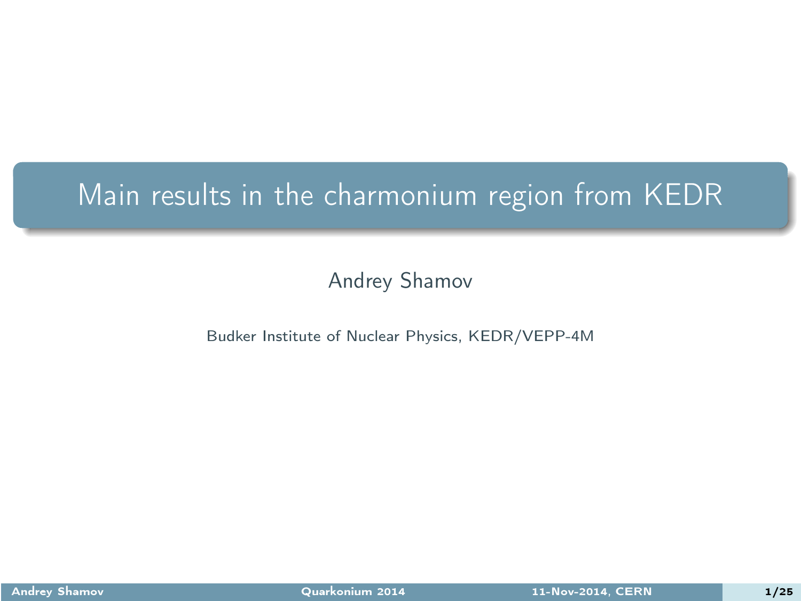#### Main results in the charmonium region from KEDR

#### Andrey Shamov

#### Budker Institute of Nuclear Physics, KEDR/VEPP-4M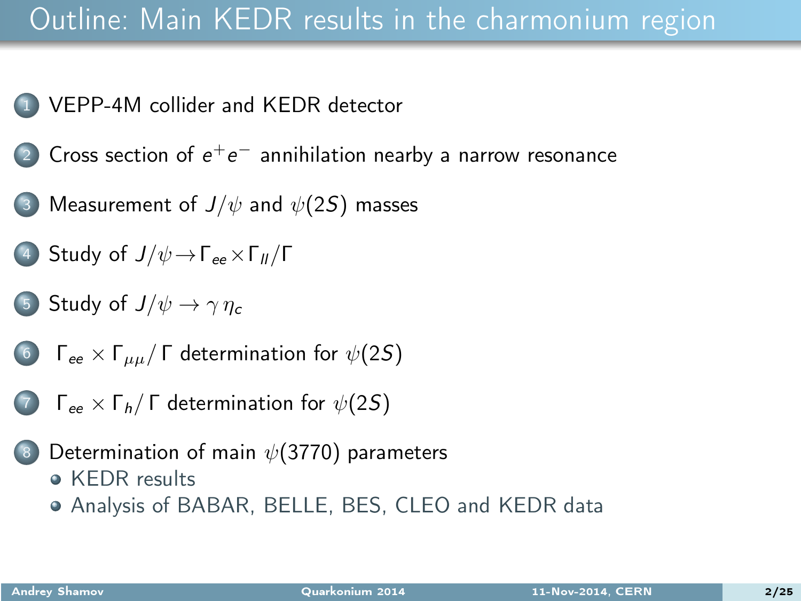#### Outline: Main KEDR results in the charmonium region

- <sup>1</sup> [VEPP-4M](#page-2-0) collider and KEDR detector
	- 2) Cross section of  $e^+e^-$  [annihilation](#page-4-0) nearby a narrow resonance
- (3) [Measurement](#page-6-0) of  $J/\psi$  and  $\psi(2S)$  masses
- (4) [Study](#page-9-0) of  $J/\psi \rightarrow \Gamma_{ee} \times \Gamma_{II}/\Gamma$
- 5 [Study](#page-11-0) of  $J/\psi \rightarrow \gamma \eta_c$
- 6 Γ<sub>ee</sub>  $\times$  Γ<sub>μμ</sub>/Γ [determination](#page-14-0) for  $\psi(2S)$
- (7)  $\Gamma_{ee} \times \Gamma_h / \Gamma$  [determination](#page-15-0) for  $\psi(2S)$
- [Determination](#page-17-0) of main  $\psi(3770)$  parameters **• [KEDR](#page-17-0) results** 
	- Analysis of [BABAR,](#page-20-0) BELLE, BES, CLEO and KEDR data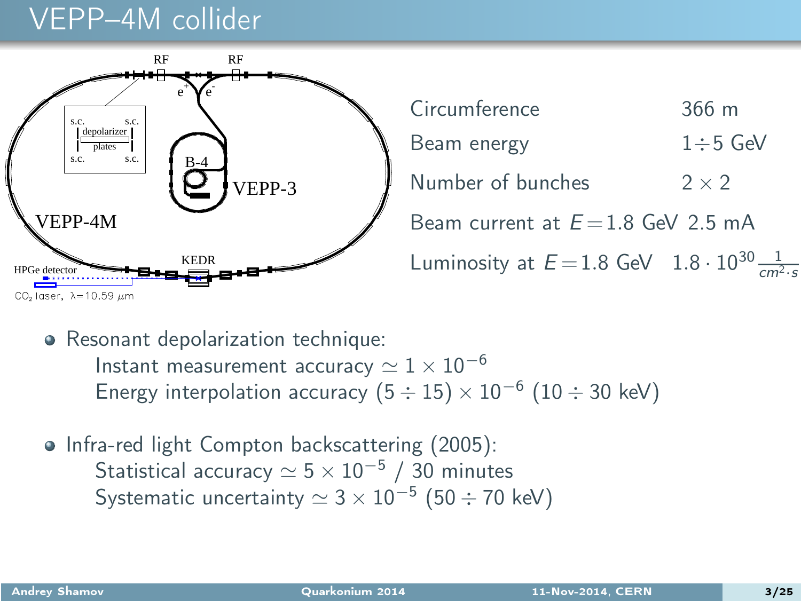#### VEPP–4M collider



<span id="page-2-0"></span>Circumference 366 m Beam energy  $1 \div 5$  GeV Number of bunches  $2 \times 2$ Beam current at  $E = 1.8$  GeV 2.5 mA Luminosity at  $E = 1.8$  GeV  $1.8 \cdot 10^{30} \frac{1}{cm^2 \cdot s}$ 

• Resonant depolarization technique: Instant measurement accuracy  $\simeq 1 \times 10^{-6}$ Energy interpolation accuracy  $(5 \div 15) \times 10^{-6}$   $(10 \div 30 \text{ keV})$ 

• Infra-red light Compton backscattering (2005): Statistical accuracy  $\simeq 5 \times 10^{-5}$  / 30 minutes Systematic uncertainty  $\simeq 3 \times 10^{-5} \; (50 \div 70 \; \mathrm{keV})$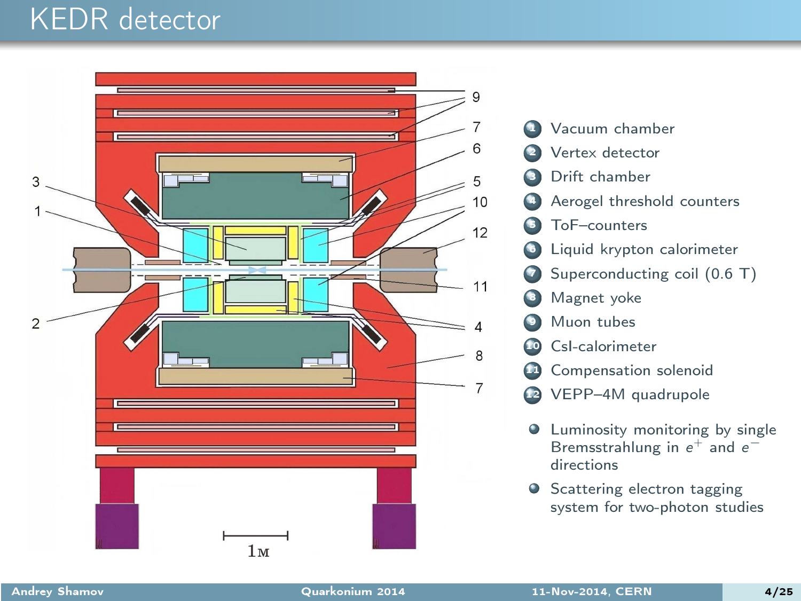#### KEDR detector



- **4** Vacuum chamber Vertex detector Drift chamber Aerogel threshold counters ToF-counters Liquid krypton calorimeter Superconducting coil (0.6 T) Magnet yoke Muon tubes CsI-calorimeter <sup>1</sup> Compensation solenoid
- <sup>2</sup> VEPP-4M quadrupole
- $\bullet$  Luminosity monitoring by single Bremsstrahlung in  $e^+$  and  $e^$ directions
- **•** Scattering electron tagging system for two-photon studies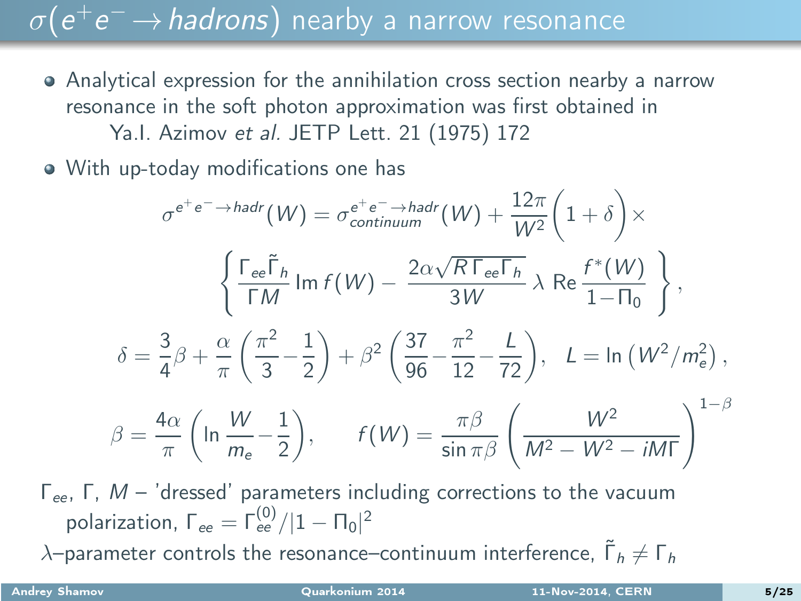# $\sigma(\mathrm{e^+ e^-}\!\rightarrow\!$  hadrons) nearby a narrow resonance

- Analytical expression for the annihilation cross section nearby a narrow resonance in the soft photon approximation was first obtained in Ya.l. Azimov et al. JETP Lett. 21 (1975) 172
- With up-today modifications one has

$$
\sigma^{e^+e^- \to hadr}(W) = \sigma_{continuum}^{e^+e^- \to hadr}(W) + \frac{12\pi}{W^2} \left(1+\delta\right) \times
$$
\n
$$
\left\{\frac{\Gamma_{ee}\tilde{\Gamma}_h}{\Gamma M} \operatorname{Im} f(W) - \frac{2\alpha\sqrt{R\Gamma_{ee}\Gamma_h}}{3W} \lambda \operatorname{Re} \frac{f^*(W)}{1-\Pi_0}\right\},
$$
\n
$$
\delta = \frac{3}{4}\beta + \frac{\alpha}{\pi} \left(\frac{\pi^2}{3} - \frac{1}{2}\right) + \beta^2 \left(\frac{37}{96} - \frac{\pi^2}{12} - \frac{L}{72}\right), \quad L = \ln\left(W^2/m_e^2\right),
$$
\n
$$
\beta = \frac{4\alpha}{\pi} \left(\ln\frac{W}{m_e} - \frac{1}{2}\right), \qquad f(W) = \frac{\pi\beta}{\sin\pi\beta} \left(\frac{W^2}{M^2 - W^2 - iM\Gamma}\right)^{1-\beta}
$$
\n
$$
M - \text{'dressed' parameters including corrections to the vacuum}
$$

<span id="page-4-0"></span>Γ<sub>ee</sub>, Γ, M – 'dressed' parameters including corrections to the vacuum polarization,  $\Gamma_{ee} = \Gamma_{ee}^{(0)}/|1 - \Pi_0|^2$  $\lambda$ –parameter controls the resonance–continuum interference,  $\tilde{\Gamma}_h \neq \Gamma_h$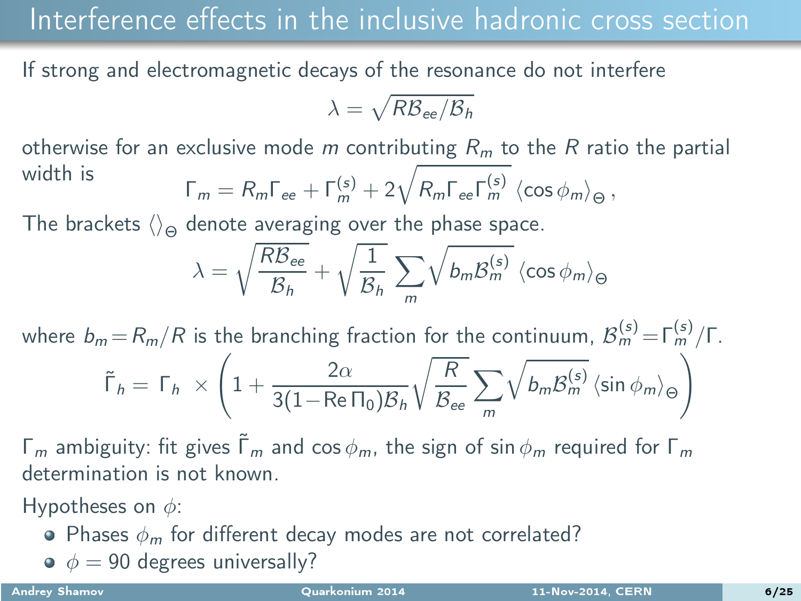#### Interference effects in the inclusive hadronic cross section

If strong and electromagnetic decays of the resonance do not interfere

$$
\lambda = \sqrt{R\mathcal{B}_{ee}/\mathcal{B}_h}
$$

otherwise for an exclusive mode m contributing  $R_m$  to the R ratio the partial width is  $\sqrt{ }$ (s)

$$
\Gamma_m = R_m \Gamma_{ee} + \Gamma_m^{(s)} + 2 \sqrt{R_m \Gamma_{ee} \Gamma_m^{(s)}} \langle \cos \phi_m \rangle_{\Theta},
$$

The brackets  $\langle \rangle_{\Theta}$  denote averaging over the phase space.

$$
\lambda = \sqrt{\frac{R\mathcal{B}_{ee}}{\mathcal{B}_h}} + \sqrt{\frac{1}{\mathcal{B}_h}} \sum_{m} \sqrt{b_m \mathcal{B}_{m}^{(s)}} \langle \cos \phi_m \rangle_{\Theta}
$$

where  $b_m = R_m / R$  is the branching fraction for the continuum,  $\mathcal{B}_m^{(s)} = \Gamma_m^{(s)}/\Gamma$ .

$$
\tilde{\Gamma}_h = \Gamma_h \times \left(1 + \frac{2\alpha}{3(1 - \text{Re}\,\Pi_0)\mathcal{B}_h}\sqrt{\frac{R}{\mathcal{B}_{ee}}}\sum_m \sqrt{b_m \mathcal{B}_m^{(s)}} \left\langle \sin \phi_m \right\rangle_{\Theta} \right)
$$

 $Γ<sub>m</sub>$  ambiguity: fit gives  $Γ<sub>m</sub>$  and cos  $φ<sub>m</sub>$ , the sign of sin  $φ<sub>m</sub>$  required for  $Γ<sub>m</sub>$ determination is not known.

Hypotheses on  $\phi$ :

- Phases  $\phi_m$  for different decay modes are not correlated?
- $\phi = 90$  degrees universally?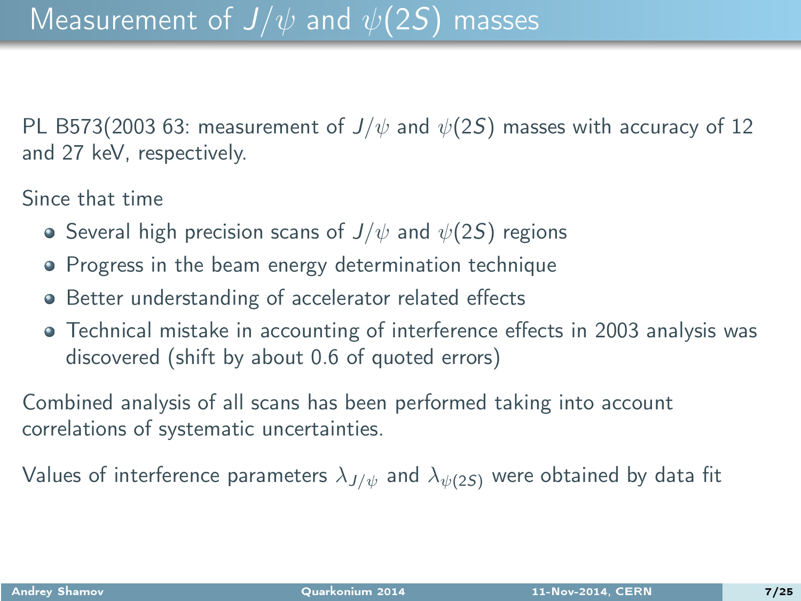PL B573(2003 63: measurement of  $J/\psi$  and  $\psi(2S)$  masses with accuracy of 12 and 27 keV, respectively.

Since that time

- **•** Several high precision scans of  $J/\psi$  and  $\psi(2S)$  regions
- Progress in the beam energy determination technique
- Better understanding of accelerator related effects
- Technical mistake in accounting of interference effects in 2003 analysis was discovered (shift by about 0.6 of quoted errors)

Combined analysis of all scans has been performed taking into account correlations of systematic uncertainties.

<span id="page-6-0"></span>Values of interference parameters  $\lambda_{J/\psi}$  and  $\lambda_{\psi(2S)}$  were obtained by data fit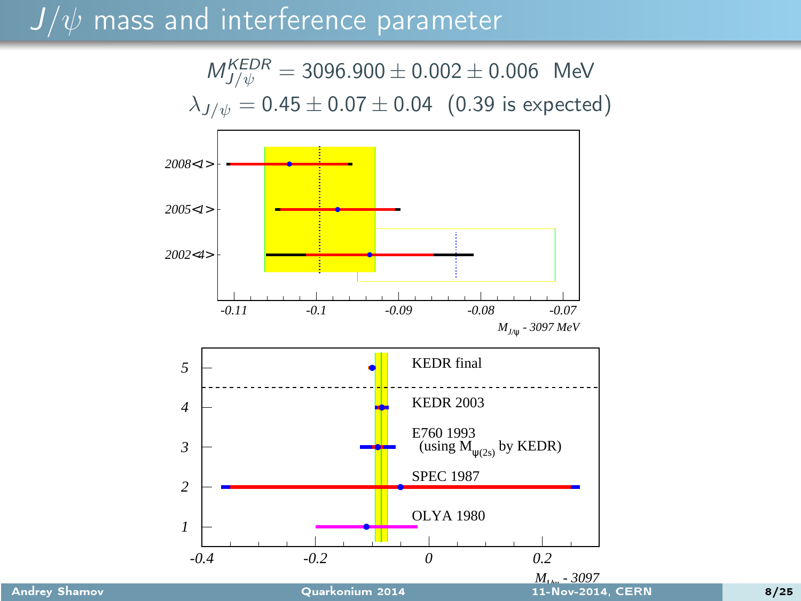#### $J/\psi$  mass and interference parameter

 $M_{J/\psi}^{KEDR} = 3096.900 \pm 0.002 \pm 0.006$  MeV  $\lambda_{J/\psi} = 0.45 \pm 0.07 \pm 0.04$  (0.39 is expected)

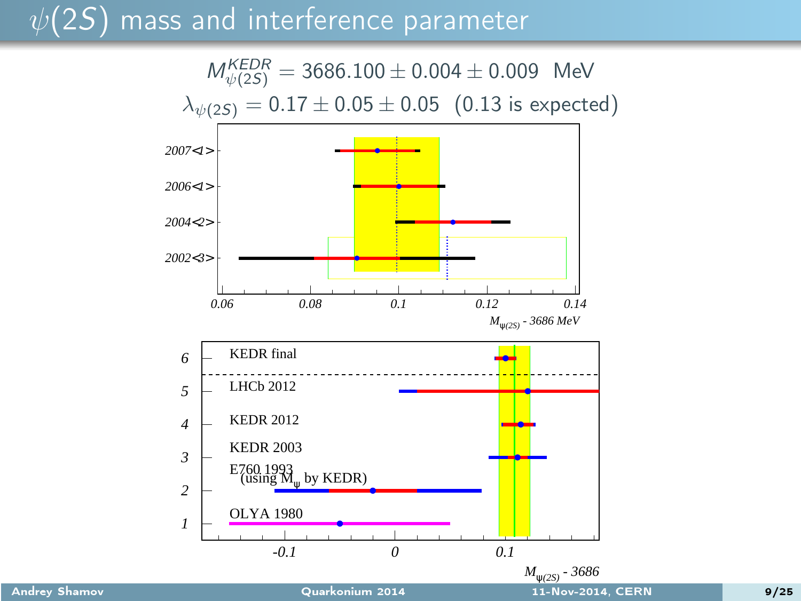#### $\psi(2S)$  mass and interference parameter

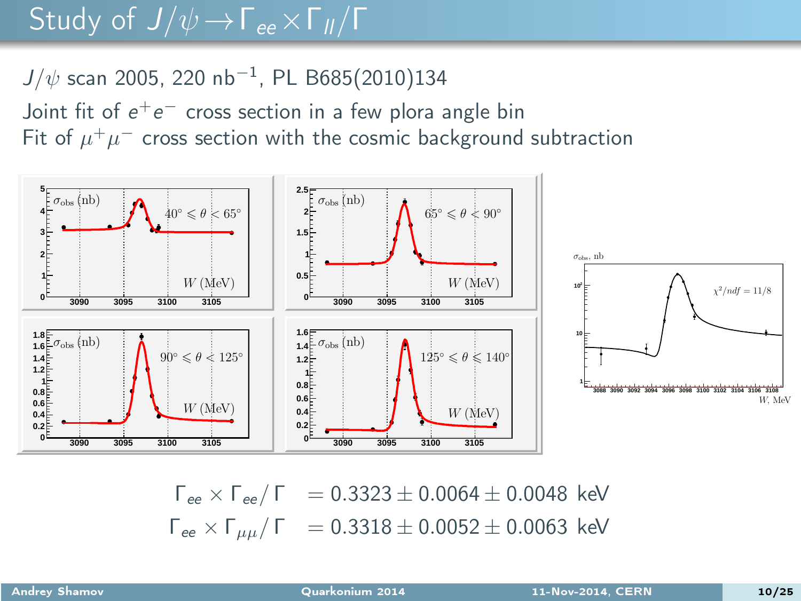#### Study of  $J/\psi \rightarrow \Gamma_{ee} \times \Gamma_{II}/\Gamma$

#### $J/\psi$  scan 2005, 220 nb $^{-1}$ , PL B685(2010)134

Joint fit of  $e^+e^-$  cross section in a few plora angle bin Fit of  $\mu^+\mu^-$  cross section with the cosmic background subtraction



<span id="page-9-0"></span> $\Gamma_{ee} \times \Gamma_{ee}/\Gamma$  = 0.3323 ± 0.0064 ± 0.0048 keV  $\Gamma_{ee}$  ×  $\Gamma_{\mu\mu}/\Gamma$  = 0.3318 ± 0.0052 ± 0.0063 keV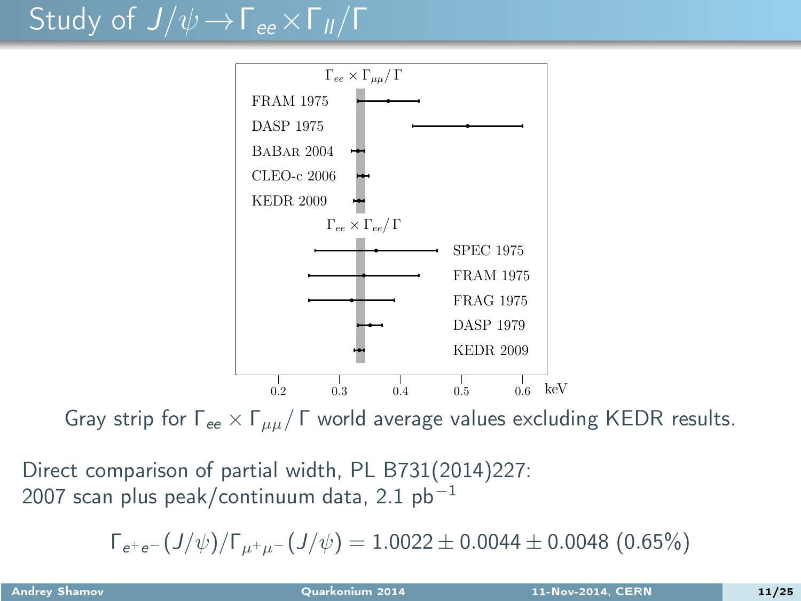## Study of  $J/\psi \rightarrow \Gamma_{ee} \times \Gamma_{II}/\Gamma$



Gray strip for  $\Gamma_{ee} \times \Gamma_{uu}/\Gamma$  world average values excluding KEDR results.

Direct comparison of partial width, PL B731(2014)227: 2007 scan plus peak/continuum data, 2.1  $pb^{-1}$ 

$$
\Gamma_{e^+e^-}(J/\psi)/\Gamma_{\mu^+\mu^-}(J/\psi)=1.0022\pm 0.0044\pm 0.0048~(0.65\%)
$$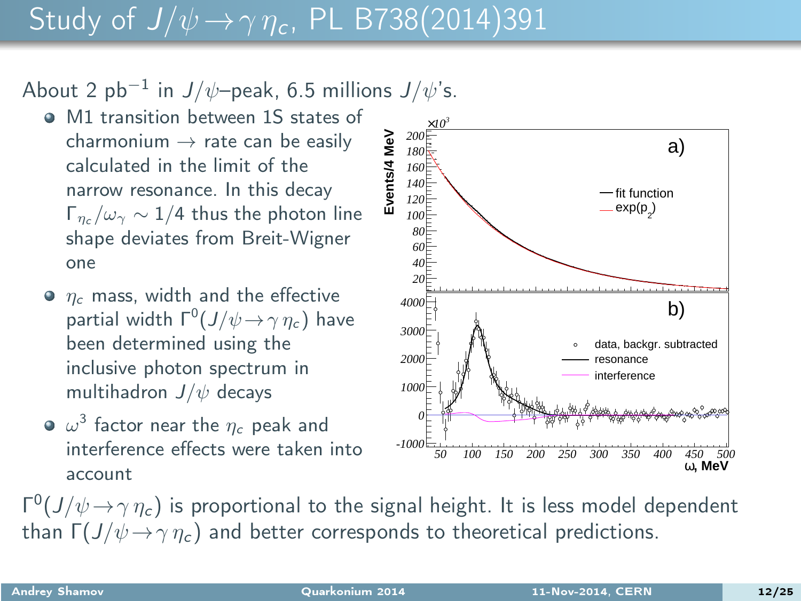#### Study of  $J/\psi \rightarrow \gamma \eta_c$ , PL B738(2014)391

About 2 pb $^{-1}$  in  $J/\psi$ –peak, 6.5 millions  $J/\psi$ 's.

- M1 transition between 1S states of charmonium  $\rightarrow$  rate can be easily calculated in the limit of the narrow resonance. In this decay  $\Gamma_{n_c}/\omega_{\gamma} \sim 1/4$  thus the photon line shape deviates from Breit-Wigner one
- $\bullet$   $n_c$  mass, width and the effective partial width  $\Gamma^0(J/\psi \! \rightarrow \! \gamma \, \eta_c)$  have been determined using the inclusive photon spectrum in multihadron  $J/\psi$  decays
- $\omega^3$  factor near the  $\eta_c$  peak and interference effects were taken into account

Γ<sup>0</sup>(J/ $\psi \rightarrow \gamma \eta_c$ ) is proportional to the signal height. It is less model dependent than  $\Gamma(J/\psi \rightarrow \gamma \eta_c)$  and better corresponds to theoretical predictions.

<span id="page-11-0"></span>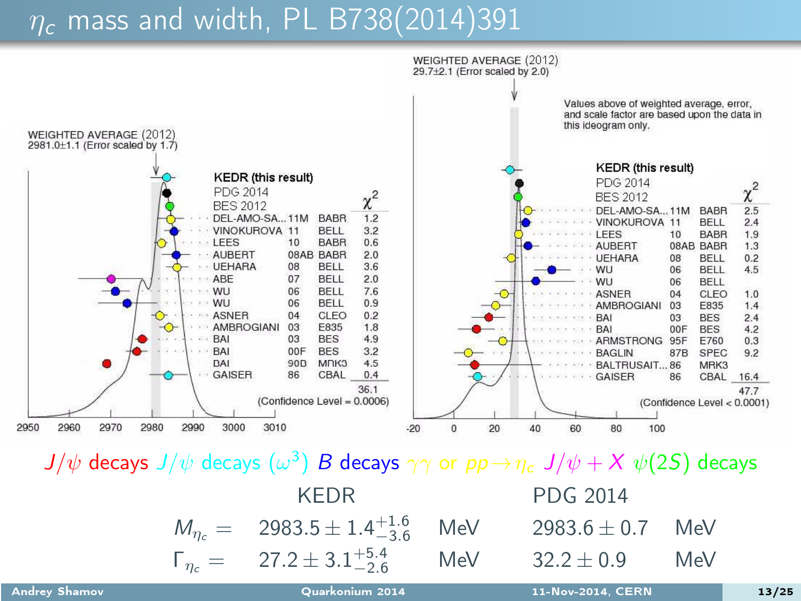#### $\eta_c$  mass and width, PL B738(2014)391



 $J/\psi$  decays  $J/\psi$  decays  $(\omega^3)$   $B$  decays  $\gamma\gamma$  or  $pp\!\rightarrow\!\eta_c\,J/\psi+X\,\psi(2S)$  decays

| KFDR.                                                             | PDG 2014             |     |
|-------------------------------------------------------------------|----------------------|-----|
| $M_{\eta_c} = 2983.5 \pm 1.4^{+1.6}_{-3.6}$ MeV                   | 2983.6 $\pm$ 0.7 MeV |     |
| $\Gamma_{\eta_c} = 27.2 \pm 3.1^{+5.4}_{-2.6}$ MeV $32.2 \pm 0.9$ |                      | MeV |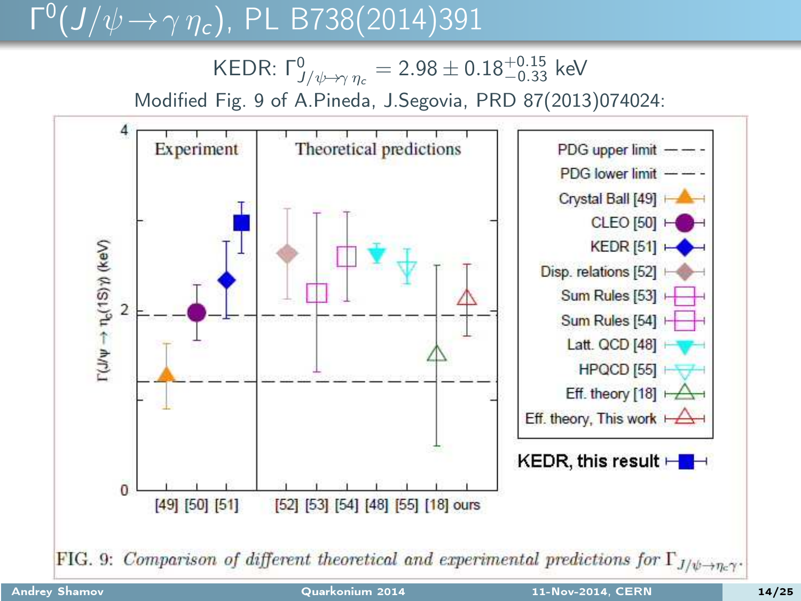# $\Gamma^0(J/\psi \to \gamma \eta_c)$ , PL B738(2014)391

KEDR: Γ $^0_{\!J/\psi\!\rightarrow\!\gamma\,\eta_c}=2.98\pm0.18^{+0.15}_{-0.33}$  keV Modified Fig. 9 of A.Pineda, J.Segovia, PRD 87(2013)074024:

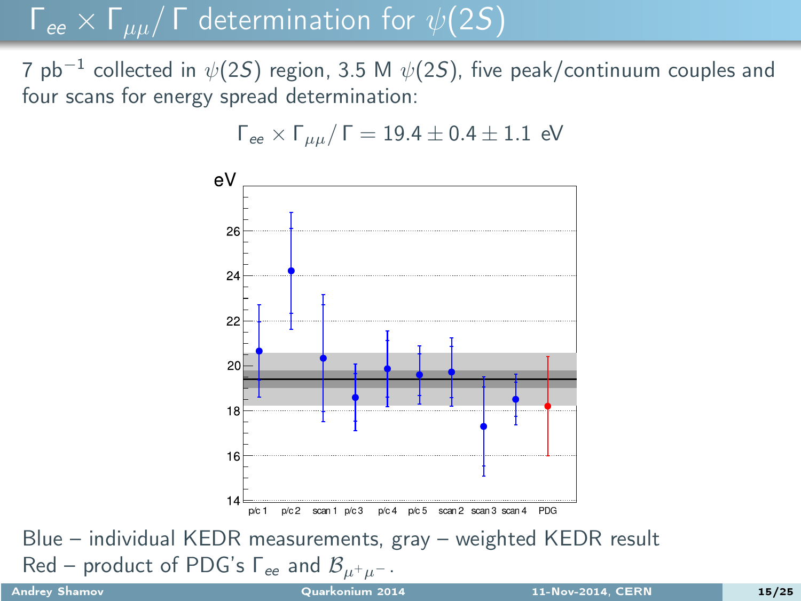#### $\Gamma_{ee} \times \Gamma_{\mu\mu}/\Gamma$  determination for  $\psi(2S)$

7 pb $^{-1}$  collected in  $\psi(2\mathcal{S})$  region, 3.5 M  $\psi(2\mathcal{S})$ , five peak/continuum couples and four scans for energy spread determination:



<span id="page-14-0"></span> $\Gamma_{ee}$  ×  $\Gamma_{uu}/\Gamma = 19.4 \pm 0.4 \pm 1.1$  eV

Blue – individual KEDR measurements, gray – weighted KEDR result Red – product of PDG's  $\Gamma_{ee}$  and  $\mathcal{B}_{\mu^+\mu^-}$ .<br>Andrey Shamov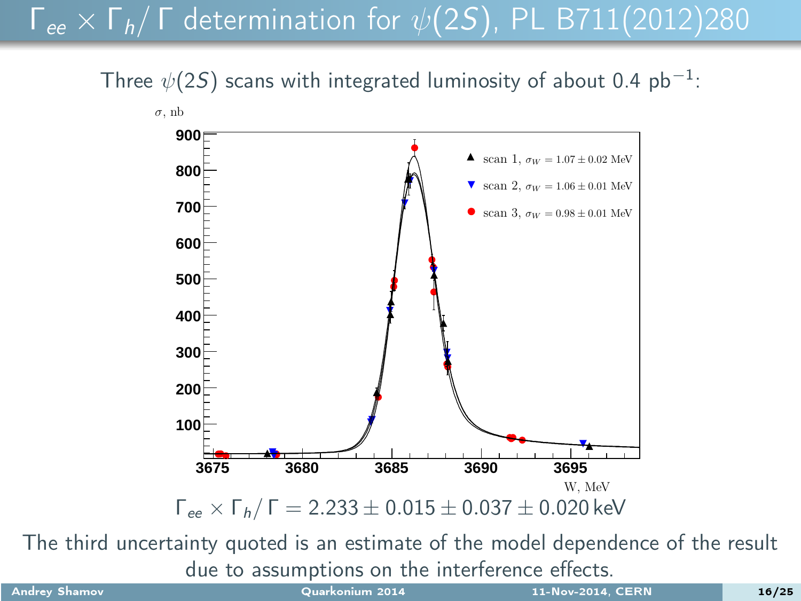### $\Gamma_{ee}$  ×  $\Gamma_h$ / Γ determination for  $\psi(2S)$ , PL B711(2012)280

Three  $\psi(2S)$  scans with integrated luminosity of about 0.4 pb<sup>-1</sup>:



The third uncertainty quoted is an estimate of the model dependence of the result due to assumptions on the interference effects.

<span id="page-15-0"></span>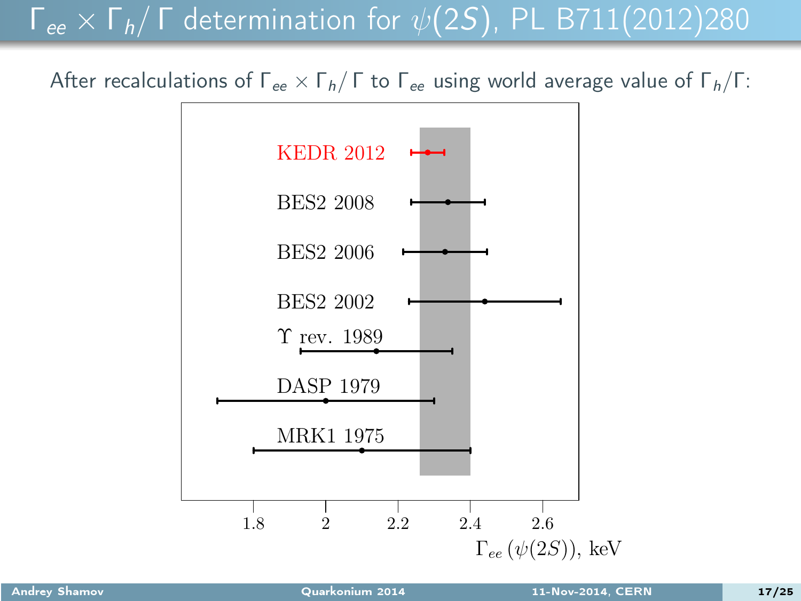#### $\Gamma_{ee}$  ×  $\Gamma_h$ / Γ determination for  $\psi(2S)$ , PL B711(2012)280

After recalculations of  $\Gamma_{ee} \times \Gamma_h / \Gamma$  to  $\Gamma_{ee}$  using world average value of  $\Gamma_h / \Gamma$ :

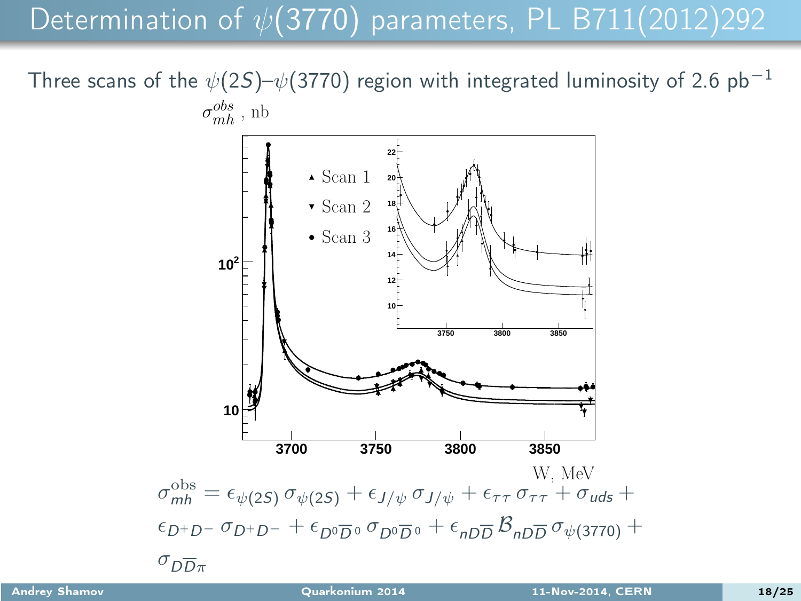#### Determination of  $\psi$ (3770) parameters, PL B711(2012)292

Three scans of the  $\psi(2S)-\psi(3770)$  region with integrated luminosity of 2.6 pb<sup>-1</sup>

<span id="page-17-0"></span>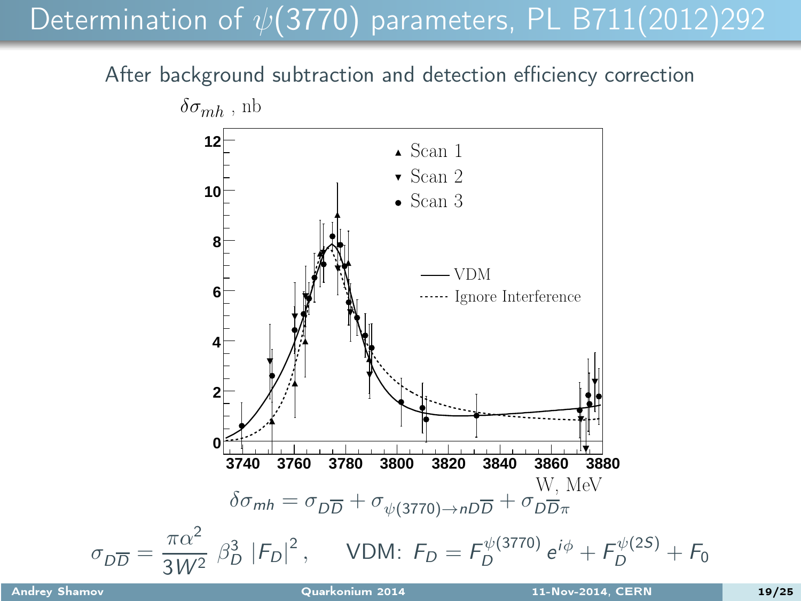### Determination of  $\psi$ (3770) parameters, PL B711(2012)292

After background subtraction and detection efficiency correction

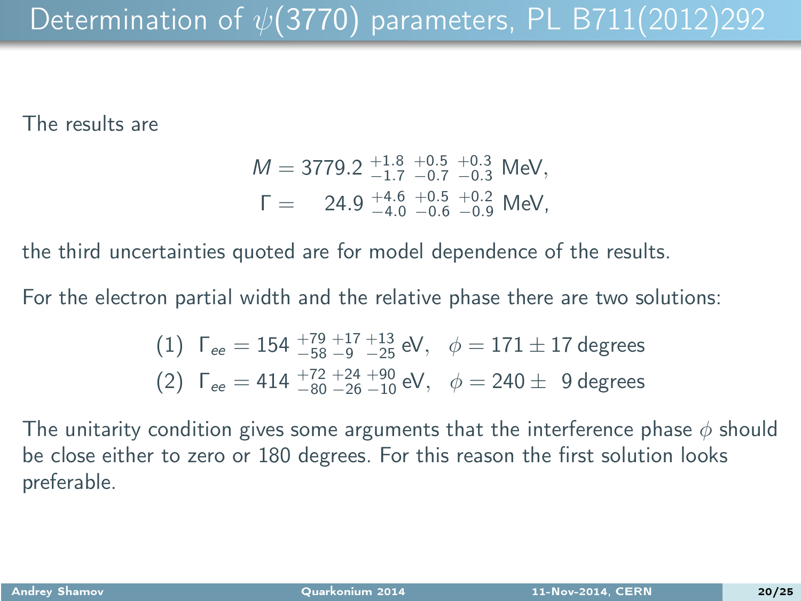#### The results are

$$
M = 3779.2 \begin{array}{r} +1.8 & +0.5 & +0.3 \\ -1.7 & -0.7 & -0.3 \end{array} \text{MeV},
$$
  
\n
$$
\Gamma = 24.9 \begin{array}{r} +4.6 & +0.5 & +0.3 \\ -4.0 & -0.6 & -0.9 \end{array} \text{MeV},
$$

the third uncertainties quoted are for model dependence of the results.

For the electron partial width and the relative phase there are two solutions:

(1) 
$$
\Gamma_{ee} = 154 \frac{+79}{-58} \frac{+17}{-9} \frac{+13}{-25} \text{ eV}, \quad \phi = 171 \pm 17 \text{ degrees}
$$
  
(2)  $\Gamma_{ee} = 414 \frac{+72}{-80} \frac{+24}{-26} \frac{+90}{-10} \text{ eV}, \quad \phi = 240 \pm 9 \text{ degrees}$ 

The unitarity condition gives some arguments that the interference phase  $\phi$  should be close either to zero or 180 degrees. For this reason the first solution looks preferable.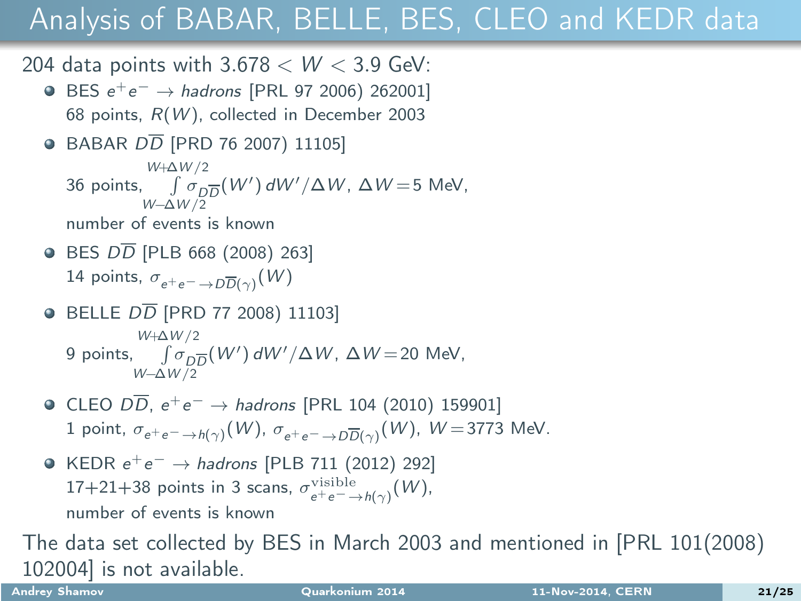204 data points with  $3.678 < W < 3.9$  GeV:

- BES  $e^+e^- \rightarrow hadrons$  [PRL 97 2006) 262001] 68 points,  $R(W)$ , collected in December 2003
- $\bullet$  BABAR  $D\overline{D}$  [PRD 76 2007) 11105] 36 points,  $\int \sigma_D \overline{D}(W') dW'/\Delta W$ ,  $\Delta W = 5$  MeV, W+∆W/2 W−∆W/2

number of events is known

- $\bullet$  BES  $D\overline{D}$  [PLB 668 (2008) 263] 14 points,  $\sigma_{e^+e^- \to D\overline{D}(\gamma)}(W)$
- $\bullet$  BELLE  $D\overline{D}$  [PRD 77 2008) 11103] 9 points,  $\int \sigma_{D\overline{D}}(W') dW'/\Delta W$ ,  $\Delta W = 20$  MeV, W+∆W/2 W−∆W/2
- CLEO  $D\overline{D}$ ,  $e^+e^- \rightarrow$  hadrons [PRL 104 (2010) 159901]  $1$  point,  $\sigma_{e^+e^-\to h(\gamma)}(W)$ ,  $\sigma_{e^+e^-\to D\overline{D}(\gamma)}(W)$ ,  $W\! =\! 3773$  MeV.
- <span id="page-20-0"></span>KEDR  $e^+e^- \rightarrow hadrons$  [PLB 711 (2012) 292] 17+21+38 points in 3 scans,  $\sigma_{e^+e^- \to h(\gamma)}^{\text{visible}}(W)$ , number of events is known

The data set collected by BES in March 2003 and mentioned in [PRL 101(2008) 102004] is not available.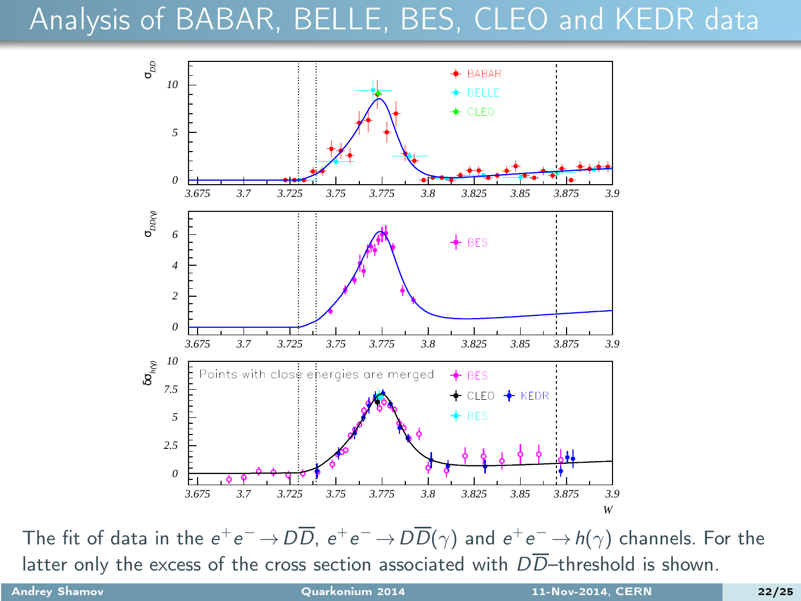

The fit of data in the  $e^+e^-\!\to\!D\overline{D},\; e^+e^-\!\to\!D\overline{D}(\gamma)$  and  $e^+e^-\!\to\!h(\gamma)$  channels. For the latter only the excess of the cross section associated with  $D\overline{D}$ -threshold is shown.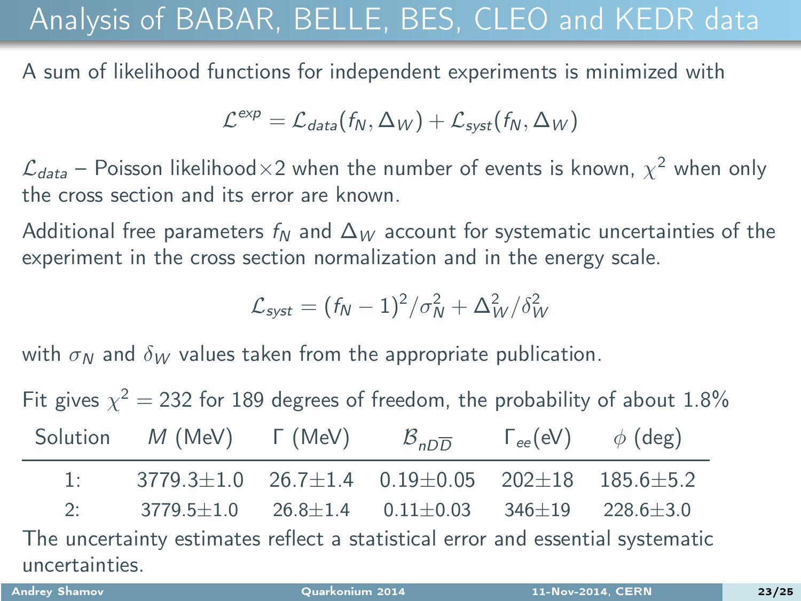A sum of likelihood functions for independent experiments is minimized with

$$
\mathcal{L}^{exp} = \mathcal{L}_{data}(f_N, \Delta_W) + \mathcal{L}_{syst}(f_N, \Delta_W)
$$

 $\mathcal{L}_{data}$  – Poisson likelihood $\times 2$  when the number of events is known,  $\chi^2$  when only the cross section and its error are known.

Additional free parameters  $f_N$  and  $\Delta_W$  account for systematic uncertainties of the experiment in the cross section normalization and in the energy scale.

$$
\mathcal{L}_{syst} = (f_N - 1)^2/\sigma_N^2 + \Delta_W^2/\delta_W^2
$$

with  $\sigma_N$  and  $\delta_W$  values taken from the appropriate publication.

Fit gives  $\chi^2=$  232 for 189 degrees of freedom, the probability of about 1.8%

|                                                                                | Solution M (MeV) $\Gamma$ (MeV) $\beta_{nD}$ $\Gamma_{ee}(eV)$ $\phi$ (deg)     |  |  |  |  |  |
|--------------------------------------------------------------------------------|---------------------------------------------------------------------------------|--|--|--|--|--|
|                                                                                | 1: $3779.3 \pm 1.0$ $26.7 \pm 1.4$ $0.19 \pm 0.05$ $202 \pm 18$ $185.6 \pm 5.2$ |  |  |  |  |  |
| 2:                                                                             | $3779.5 \pm 1.0$ $26.8 \pm 1.4$ $0.11 \pm 0.03$ $346 \pm 19$ $228.6 \pm 3.0$    |  |  |  |  |  |
| The uncertainty estimates reflect a statistical error and essential systematic |                                                                                 |  |  |  |  |  |
| uncertainties.                                                                 |                                                                                 |  |  |  |  |  |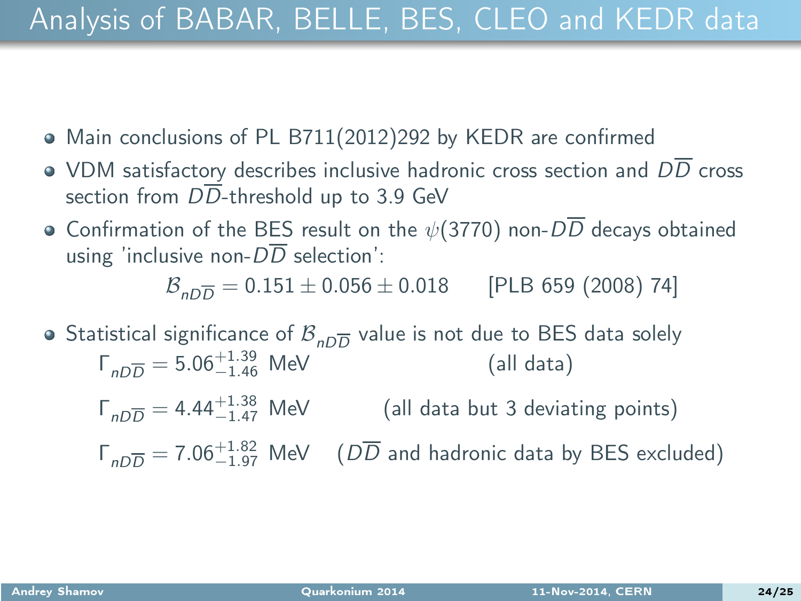- Main conclusions of PL B711(2012)292 by KEDR are confirmed
- VDM satisfactory describes inclusive hadronic cross section and  $D\overline{D}$  cross section from  $D\overline{D}$ -threshold up to 3.9 GeV
- Confirmation of the BES result on the  $\psi(3770)$  non- $D\overline{D}$  decays obtained using 'inclusive non- $D\overline{D}$  selection':

 $B_{nD}$  = 0.151  $\pm$  0.056  $\pm$  0.018 [PLB 659 (2008) 74]

- Statistical significance of  $\mathcal{B}_{n\overline{\mathrm{D}}\overline{\mathrm{D}}}$  value is not due to BES data solely  $\Gamma_{nD\overline{D}} = 5.06^{+1.39}_{-1.46}$  MeV (all data)
	- $\Gamma_{nD\overline{D}} = 4.44^{+1.38}_{-1.47}$  MeV (all data but 3 deviating points)

 $\Gamma_{nD\overline{D}} = 7.06^{+1.82}_{-1.97}$  MeV ( $D\overline{D}$  and hadronic data by BES excluded)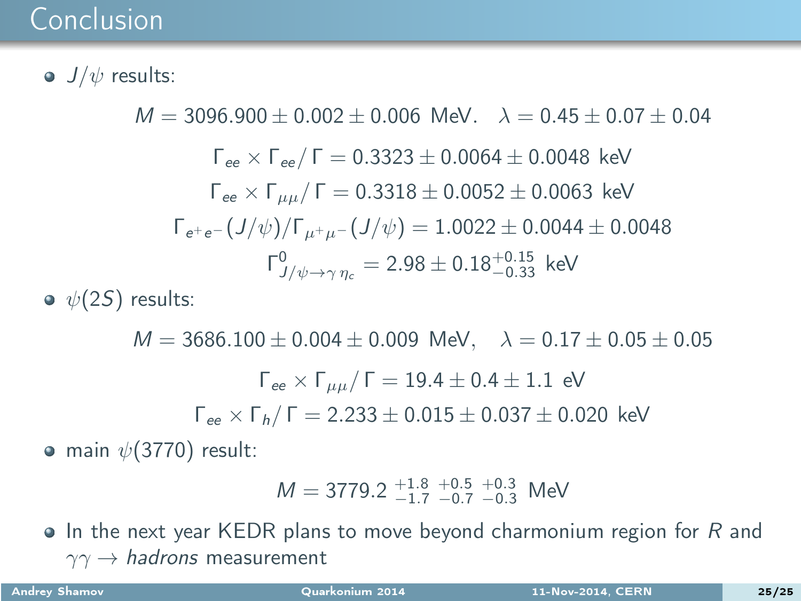#### Conclusion

 $\bullet$   $J/\psi$  results:

 $M = 3096.900 + 0.002 + 0.006$  MeV  $\lambda = 0.45 + 0.07 + 0.04$  $\Gamma_{ee}$  ×  $\Gamma_{ee}/\Gamma = 0.3323 \pm 0.0064 \pm 0.0048$  keV  $\Gamma_{ee}$  ×  $\Gamma_{uu}/\Gamma$  = 0.3318 ± 0.0052 ± 0.0063 keV  $\Gamma_{e^+e^-}(J/\psi)/\Gamma_{u^+u^-}(J/\psi) = 1.0022 \pm 0.0044 \pm 0.0048$  $\mathsf{\Gamma}^0_{\mathsf{J}/\psi \rightarrow \gamma \, \eta_c} = 2.98 \pm 0.18^{+0.15}_{-0.33}~\,$  keV

 $\bullet \psi(2S)$  results:

 $M = 3686.100 \pm 0.004 \pm 0.009$  MeV,  $\lambda = 0.17 \pm 0.05 \pm 0.05$  $\Gamma_{ee}$  × Γ<sub>μμ</sub>/ Γ = 19.4  $\pm$  0.4  $\pm$  1.1 eV  $\Gamma_{ee}$  ×  $\Gamma_h$ / Γ = 2.233  $\pm$  0.015  $\pm$  0.037  $\pm$  0.020 keV

• main  $\psi(3770)$  result:

$$
M = 3779.2 \, {}^{+1.8}_{-1.7} \, {}^{+0.5}_{-0.7} \, {}^{+0.3}_{-0.3} \, \text{MeV}
$$

 $\bullet$  In the next year KEDR plans to move beyond charmonium region for R and  $\gamma\gamma \rightarrow$  hadrons measurement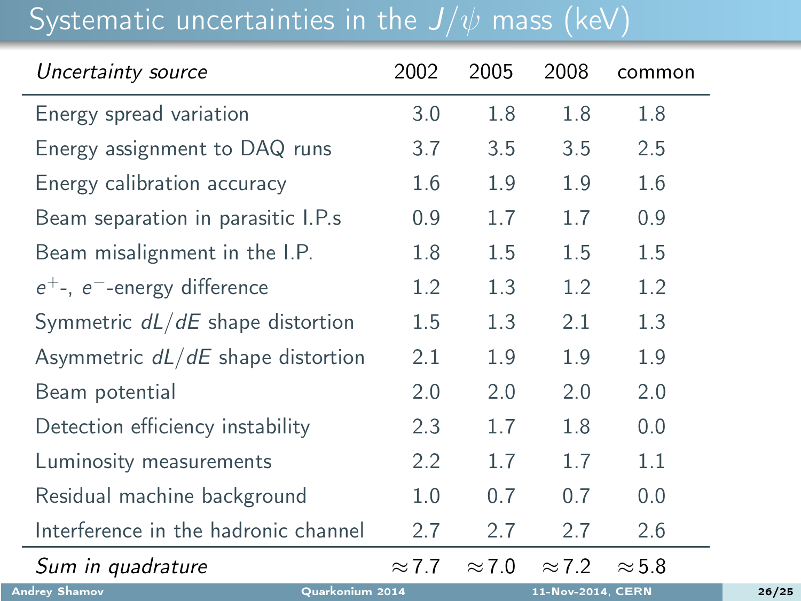#### Systematic uncertainties in the  $J/\psi$  mass (keV)

| Uncertainty source                      | 2002             | 2005          | 2008              | common        |
|-----------------------------------------|------------------|---------------|-------------------|---------------|
| Energy spread variation                 | 3.0              | 1.8           | 1.8               | 1.8           |
| Energy assignment to DAQ runs           | 3.7              | 3.5           | 3.5               | 2.5           |
| Energy calibration accuracy             | 1.6              | 1.9           | 1.9               | 1.6           |
| Beam separation in parasitic I.P.s      | 0.9              | 1.7           | 1.7               | 0.9           |
| Beam misalignment in the I.P.           | 1.8              | 1.5           | 1.5               | 1.5           |
| $e^+$ -, $e^-$ -energy difference       | 1.2              | 1.3           | 1.2               | 1.2           |
| Symmetric $dL/dE$ shape distortion      | 1.5              | 1.3           | 2.1               | 1.3           |
| Asymmetric $dL/dE$ shape distortion     | 2.1              | 1.9           | 1.9               | 1.9           |
| Beam potential                          | 2.0              | 2.0           | 2.0               | 2.0           |
| Detection efficiency instability        | 2.3              | 1.7           | 1.8               | 0.0           |
| Luminosity measurements                 | $2.2\phantom{0}$ | 1.7           | 1.7               | 1.1           |
| Residual machine background             | 1.0              | 0.7           | 0.7               | 0.0           |
| Interference in the hadronic channel    | 2.7              | 2.7           | 2.7               | 2.6           |
| Sum in quadrature                       | $\approx$ 7.7    | $\approx$ 7.0 | $\approx$ 7.2     | $\approx$ 5.8 |
| <b>Andrey Shamov</b><br>Quarkonium 2014 |                  |               | 11-Nov-2014, CERN |               |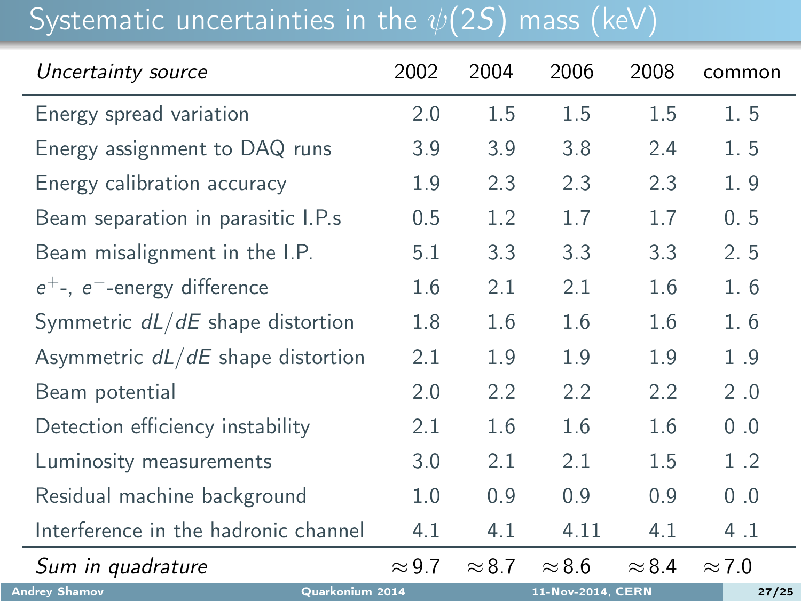# Systematic uncertainties in the  $\psi(2\overline{S})$  mass (keV)

| Uncertainty source                      | 2002          | 2004          | 2006              | 2008          | common        |
|-----------------------------------------|---------------|---------------|-------------------|---------------|---------------|
| Energy spread variation                 | 2.0           | 1.5           | 1.5               | 1.5           | 1.5           |
| Energy assignment to DAQ runs           | 3.9           | 3.9           | 3.8               | 2.4           | 1.5           |
| Energy calibration accuracy             | 1.9           | 2.3           | 2.3               | 2.3           | 1.9           |
| Beam separation in parasitic I.P.s      | 0.5           | 1.2           | 1.7               | 1.7           | 0.5           |
| Beam misalignment in the I.P.           | 5.1           | 3.3           | 3.3               | 3.3           | 2.5           |
| $e^+$ -, $e^-$ -energy difference       | 1.6           | 2.1           | 2.1               | 1.6           | 1.6           |
| Symmetric $dL/dE$ shape distortion      | 1.8           | 1.6           | 1.6               | 1.6           | 1.6           |
| Asymmetric $dL/dE$ shape distortion     | 2.1           | 1.9           | 1.9               | 1.9           | 1.9           |
| Beam potential                          | 2.0           | 2.2           | 2.2               | 2.2           | 2.0           |
| Detection efficiency instability        | 2.1           | 1.6           | 1.6               | 1.6           | 0.0           |
| Luminosity measurements                 | 3.0           | 2.1           | 2.1               | 1.5           | 1.2           |
| Residual machine background             | 1.0           | 0.9           | 0.9               | 0.9           | 0.0           |
| Interference in the hadronic channel    | 4.1           | 4.1           | 4.11              | 4.1           | 4.1           |
| Sum in quadrature                       | $\approx$ 9.7 | $\approx 8.7$ | $\approx 8.6$     | $\approx$ 8.4 | $\approx$ 7.0 |
| <b>Andrey Shamov</b><br>Quarkonium 2014 |               |               | 11-Nov-2014, CERN |               | 27/25         |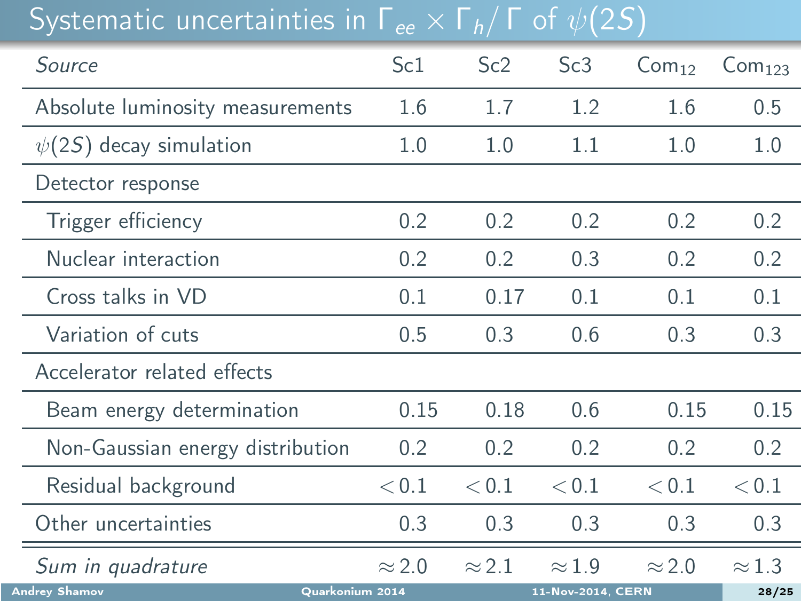## Systematic uncertainties in  $\Gamma_{ee} \times \Gamma_h / \Gamma$  of  $\psi(2S)$

| Source                                  | Sc <sub>1</sub> | Sc2           | Sc3               | Com <sub>12</sub> | Com <sub>123</sub> |
|-----------------------------------------|-----------------|---------------|-------------------|-------------------|--------------------|
| Absolute luminosity measurements        | 1.6             | 1.7           | 1.2               | 1.6               | 0.5                |
| $\psi(2S)$ decay simulation             | $1.0\,$         | 1.0           | 1.1               | 1.0               | 1.0                |
| Detector response                       |                 |               |                   |                   |                    |
| Trigger efficiency                      | 0.2             | 0.2           | 0.2               | 0.2               | 0.2                |
| Nuclear interaction                     | 0.2             | 0.2           | 0.3               | 0.2               | 0.2                |
| Cross talks in VD                       | 0.1             | 0.17          | 0.1               | 0.1               | 0.1                |
| Variation of cuts                       | 0.5             | 0.3           | 0.6               | 0.3               | 0.3                |
| Accelerator related effects             |                 |               |                   |                   |                    |
| Beam energy determination               | 0.15            | 0.18          | 0.6               | 0.15              | 0.15               |
| Non-Gaussian energy distribution        | 0.2             | 0.2           | 0.2               | 0.2               | 0.2                |
| Residual background                     | < 0.1           | < 0.1         | < 0.1             | < 0.1             | < 0.1              |
| Other uncertainties                     | 0.3             | 0.3           | 0.3               | 0.3               | 0.3                |
| Sum in quadrature                       | $\approx$ 2.0   | $\approx$ 2.1 | $\approx$ 1.9     | $\approx$ 2.0     | $\approx$ 1.3      |
| <b>Andrey Shamov</b><br>Quarkonium 2014 |                 |               | 11-Nov-2014, CERN |                   | 28/25              |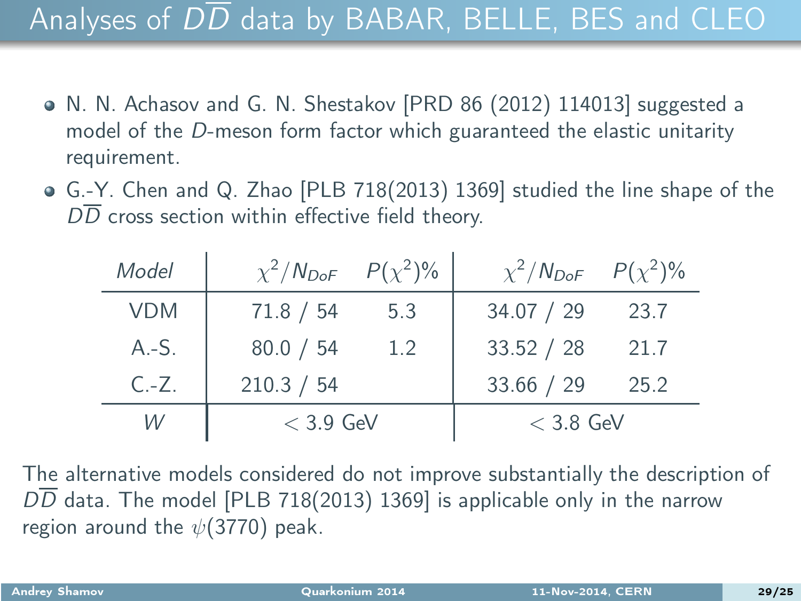### Analyses of  $D\overline{D}$  data by BABAR, BELLE, BES and CLEO

- N. N. Achasov and G. N. Shestakov [PRD 86 (2012) 114013] suggested a model of the D-meson form factor which guaranteed the elastic unitarity requirement.
- G.-Y. Chen and Q. Zhao [PLB 718(2013) 1369] studied the line shape of the  $D\overline{D}$  cross section within effective field theory.

| Model      | $\chi^2/N_{DoF}$ $P(\chi^2)\%$ |     | $\chi^2/N_{DoF}$ $P(\chi^2)\%$ |      |
|------------|--------------------------------|-----|--------------------------------|------|
| <b>VDM</b> | 71.8 / 54                      | 5.3 | 34.07 / 29                     | 23.7 |
| $A.-S.$    | 80.0 / 54                      | 1.2 | 33.52 / 28                     | 21.7 |
| $C - Z$ .  | 210.3 / 54                     |     | 33.66 / 29                     | 25.2 |
| W          | $<$ 3.9 GeV                    |     | $<$ 3.8 GeV                    |      |

The alternative models considered do not improve substantially the description of DD data. The model [PLB 718(2013) 1369] is applicable only in the narrow region around the  $\psi(3770)$  peak.